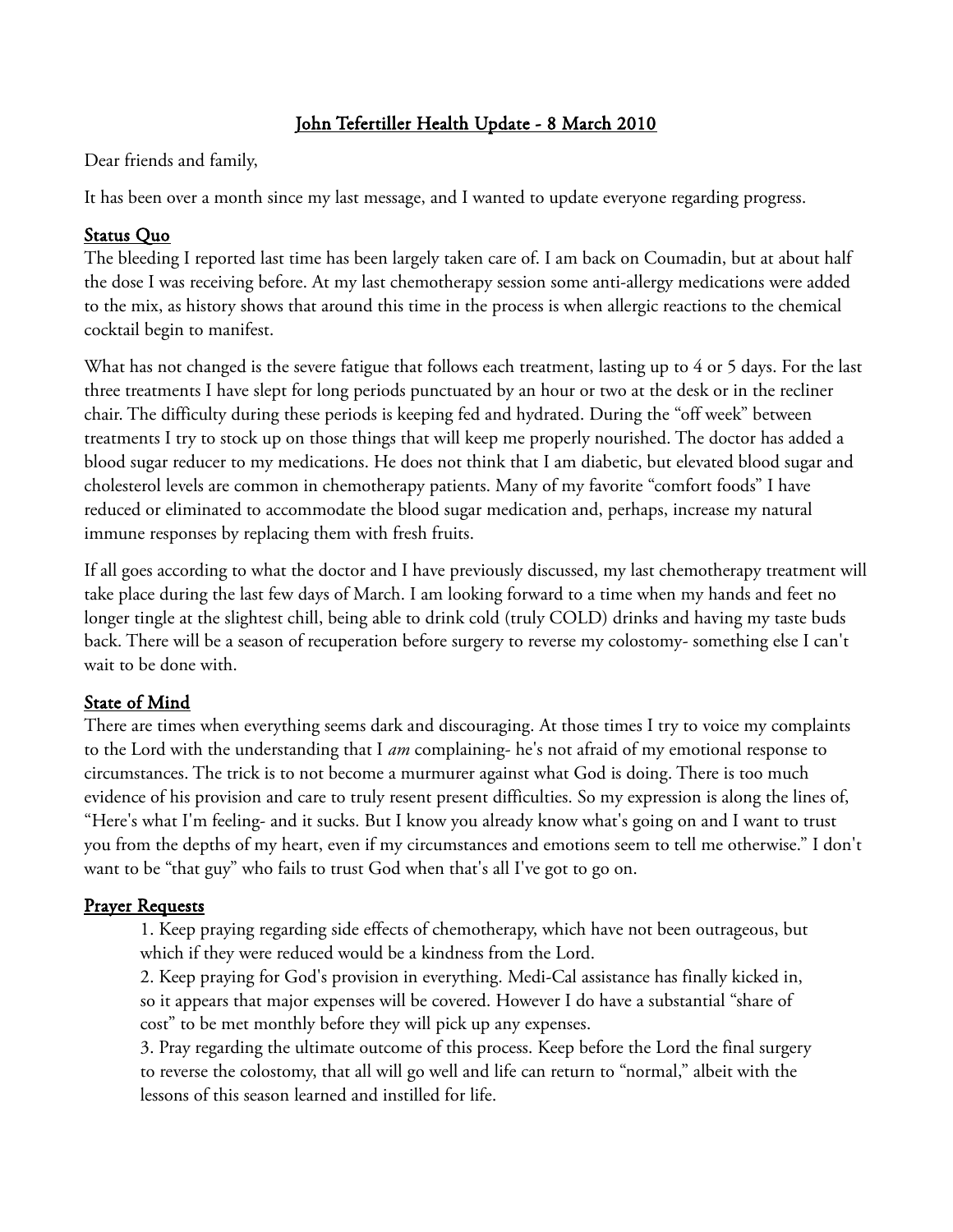# John Tefertiller Health Update - 8 March 2010

Dear friends and family,

It has been over a month since my last message, and I wanted to update everyone regarding progress.

#### Status Quo

The bleeding I reported last time has been largely taken care of. I am back on Coumadin, but at about half the dose I was receiving before. At my last chemotherapy session some anti-allergy medications were added to the mix, as history shows that around this time in the process is when allergic reactions to the chemical cocktail begin to manifest.

What has not changed is the severe fatigue that follows each treatment, lasting up to 4 or 5 days. For the last three treatments I have slept for long periods punctuated by an hour or two at the desk or in the recliner chair. The difficulty during these periods is keeping fed and hydrated. During the "off week" between treatments I try to stock up on those things that will keep me properly nourished. The doctor has added a blood sugar reducer to my medications. He does not think that I am diabetic, but elevated blood sugar and cholesterol levels are common in chemotherapy patients. Many of my favorite "comfort foods" I have reduced or eliminated to accommodate the blood sugar medication and, perhaps, increase my natural immune responses by replacing them with fresh fruits.

If all goes according to what the doctor and I have previously discussed, my last chemotherapy treatment will take place during the last few days of March. I am looking forward to a time when my hands and feet no longer tingle at the slightest chill, being able to drink cold (truly COLD) drinks and having my taste buds back. There will be a season of recuperation before surgery to reverse my colostomy- something else I can't wait to be done with.

## State of Mind

There are times when everything seems dark and discouraging. At those times I try to voice my complaints to the Lord with the understanding that I *am* complaining- he's not afraid of my emotional response to circumstances. The trick is to not become a murmurer against what God is doing. There is too much evidence of his provision and care to truly resent present difficulties. So my expression is along the lines of, "Here's what I'm feeling- and it sucks. But I know you already know what's going on and I want to trust you from the depths of my heart, even if my circumstances and emotions seem to tell me otherwise." I don't want to be "that guy" who fails to trust God when that's all I've got to go on.

## Prayer Requests

1. Keep praying regarding side effects of chemotherapy, which have not been outrageous, but which if they were reduced would be a kindness from the Lord.

2. Keep praying for God's provision in everything. Medi-Cal assistance has finally kicked in, so it appears that major expenses will be covered. However I do have a substantial "share of cost" to be met monthly before they will pick up any expenses.

3. Pray regarding the ultimate outcome of this process. Keep before the Lord the final surgery to reverse the colostomy, that all will go well and life can return to "normal," albeit with the lessons of this season learned and instilled for life.